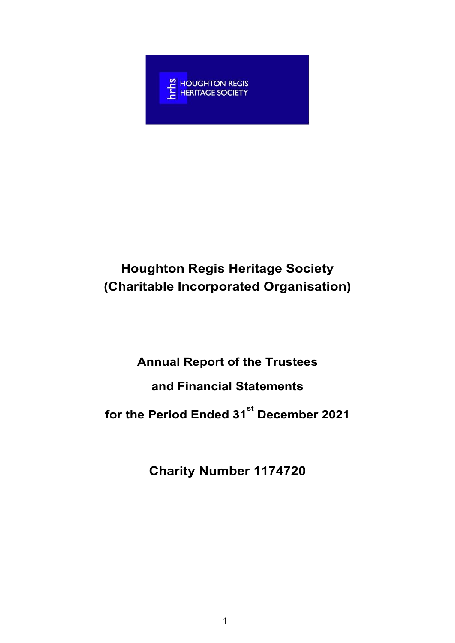

# Houghton Regis Heritage Society (Charitable Incorporated Organisation)

# Annual Report of the Trustees and Financial Statements

for the Period Ended 31<sup>st</sup> December 2021

Charity Number 1174720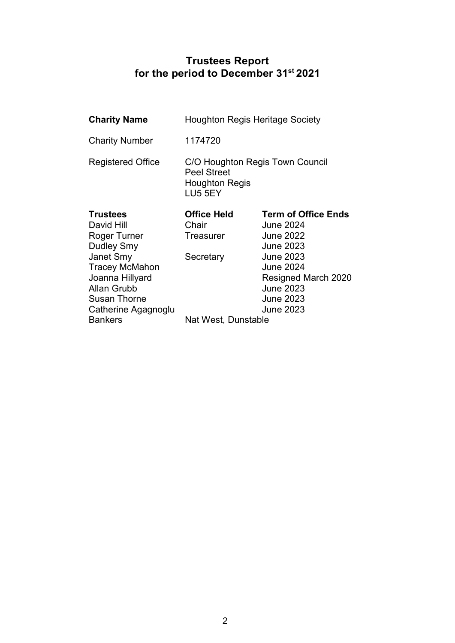### Trustees Report for the period to December 31 $^{\rm st}$  2021  $\,$

| <b>Charity Name</b>                                                                                                                                                                      | <b>Houghton Regis Heritage Society</b>                                                    |                                                                                                                                                                                                            |  |  |
|------------------------------------------------------------------------------------------------------------------------------------------------------------------------------------------|-------------------------------------------------------------------------------------------|------------------------------------------------------------------------------------------------------------------------------------------------------------------------------------------------------------|--|--|
| <b>Charity Number</b>                                                                                                                                                                    | 1174720                                                                                   |                                                                                                                                                                                                            |  |  |
| <b>Registered Office</b>                                                                                                                                                                 | C/O Houghton Regis Town Council<br><b>Peel Street</b><br><b>Houghton Regis</b><br>LU5 5EY |                                                                                                                                                                                                            |  |  |
| <b>Trustees</b><br>David Hill<br>Roger Turner<br>Dudley Smy<br><b>Janet Smy</b><br><b>Tracey McMahon</b><br>Joanna Hillyard<br>Allan Grubb<br><b>Susan Thorne</b><br>Catherine Agagnoglu | <b>Office Held</b><br>Chair<br>Treasurer<br>Secretary                                     | <b>Term of Office Ends</b><br><b>June 2024</b><br><b>June 2022</b><br><b>June 2023</b><br><b>June 2023</b><br><b>June 2024</b><br>Resigned March 2020<br><b>June 2023</b><br><b>June 2023</b><br>June 2023 |  |  |
| <b>Bankers</b>                                                                                                                                                                           | Nat West, Dunstable                                                                       |                                                                                                                                                                                                            |  |  |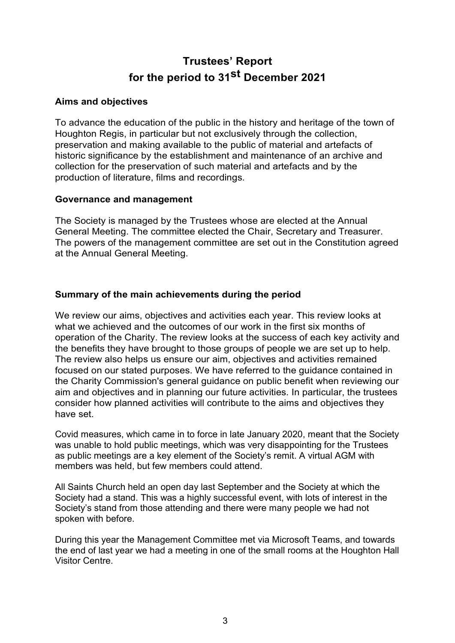## Trustees' Report for the period to 31<sup>st</sup> December 2021

### Aims and objectives

To advance the education of the public in the history and heritage of the town of Houghton Regis, in particular but not exclusively through the collection, preservation and making available to the public of material and artefacts of historic significance by the establishment and maintenance of an archive and collection for the preservation of such material and artefacts and by the production of literature, films and recordings.

### Governance and management

The Society is managed by the Trustees whose are elected at the Annual General Meeting. The committee elected the Chair, Secretary and Treasurer. The powers of the management committee are set out in the Constitution agreed at the Annual General Meeting.

### Summary of the main achievements during the period

We review our aims, objectives and activities each year. This review looks at what we achieved and the outcomes of our work in the first six months of operation of the Charity. The review looks at the success of each key activity and the benefits they have brought to those groups of people we are set up to help. The review also helps us ensure our aim, objectives and activities remained focused on our stated purposes. We have referred to the guidance contained in the Charity Commission's general guidance on public benefit when reviewing our aim and objectives and in planning our future activities. In particular, the trustees consider how planned activities will contribute to the aims and objectives they have set.

Covid measures, which came in to force in late January 2020, meant that the Society was unable to hold public meetings, which was very disappointing for the Trustees as public meetings are a key element of the Society's remit. A virtual AGM with members was held, but few members could attend.

All Saints Church held an open day last September and the Society at which the Society had a stand. This was a highly successful event, with lots of interest in the Society's stand from those attending and there were many people we had not spoken with before.

During this year the Management Committee met via Microsoft Teams, and towards the end of last year we had a meeting in one of the small rooms at the Houghton Hall Visitor Centre.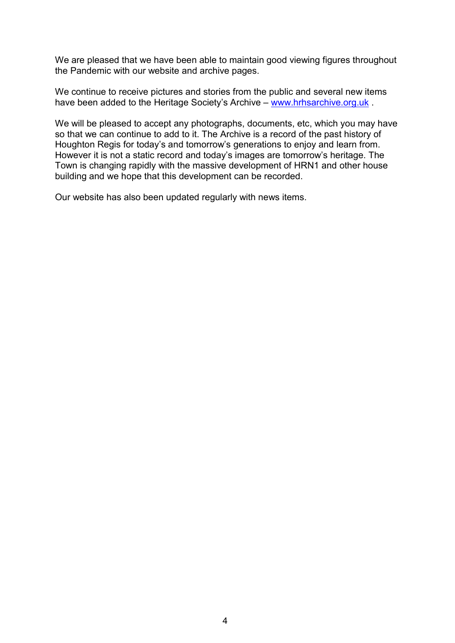We are pleased that we have been able to maintain good viewing figures throughout the Pandemic with our website and archive pages.

We continue to receive pictures and stories from the public and several new items have been added to the Heritage Society's Archive – www.hrhsarchive.org.uk .

We will be pleased to accept any photographs, documents, etc, which you may have so that we can continue to add to it. The Archive is a record of the past history of Houghton Regis for today's and tomorrow's generations to enjoy and learn from. However it is not a static record and today's images are tomorrow's heritage. The Town is changing rapidly with the massive development of HRN1 and other house building and we hope that this development can be recorded.

Our website has also been updated regularly with news items.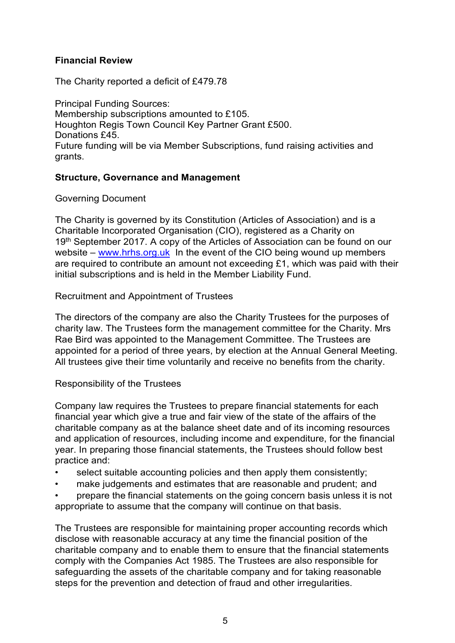### Financial Review

The Charity reported a deficit of £479.78

Principal Funding Sources: Membership subscriptions amounted to £105. Houghton Regis Town Council Key Partner Grant £500. Donations £45. Future funding will be via Member Subscriptions, fund raising activities and grants.

### Structure, Governance and Management

Governing Document

The Charity is governed by its Constitution (Articles of Association) and is a Charitable Incorporated Organisation (CIO), registered as a Charity on 19<sup>th</sup> September 2017. A copy of the Articles of Association can be found on our website – www.hrhs.org.uk In the event of the CIO being wound up members are required to contribute an amount not exceeding £1, which was paid with their initial subscriptions and is held in the Member Liability Fund.

Recruitment and Appointment of Trustees

The directors of the company are also the Charity Trustees for the purposes of charity law. The Trustees form the management committee for the Charity. Mrs Rae Bird was appointed to the Management Committee. The Trustees are appointed for a period of three years, by election at the Annual General Meeting. All trustees give their time voluntarily and receive no benefits from the charity.

### Responsibility of the Trustees

Company law requires the Trustees to prepare financial statements for each financial year which give a true and fair view of the state of the affairs of the charitable company as at the balance sheet date and of its incoming resources and application of resources, including income and expenditure, for the financial year. In preparing those financial statements, the Trustees should follow best practice and:

- select suitable accounting policies and then apply them consistently;
- make judgements and estimates that are reasonable and prudent; and
- prepare the financial statements on the going concern basis unless it is not appropriate to assume that the company will continue on that basis.

The Trustees are responsible for maintaining proper accounting records which disclose with reasonable accuracy at any time the financial position of the charitable company and to enable them to ensure that the financial statements comply with the Companies Act 1985. The Trustees are also responsible for safeguarding the assets of the charitable company and for taking reasonable steps for the prevention and detection of fraud and other irregularities.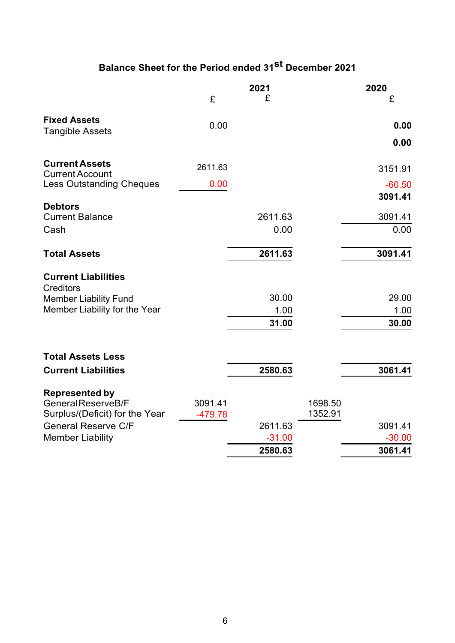# Balance Sheet for the Period ended 31<sup>st</sup> December 2021

|                                                              | 2021    |          |                    | 2020     |  |
|--------------------------------------------------------------|---------|----------|--------------------|----------|--|
|                                                              | £       | £        |                    | £        |  |
| <b>Fixed Assets</b>                                          | 0.00    |          |                    | 0.00     |  |
| <b>Tangible Assets</b>                                       |         |          |                    |          |  |
|                                                              |         |          |                    | 0.00     |  |
| <b>Current Assets</b><br><b>Current Account</b>              | 2611.63 |          |                    | 3151.91  |  |
| <b>Less Outstanding Cheques</b>                              | 0.00    |          |                    | $-60.50$ |  |
|                                                              |         |          |                    | 3091.41  |  |
| <b>Debtors</b>                                               |         |          |                    |          |  |
| <b>Current Balance</b>                                       |         | 2611.63  |                    | 3091.41  |  |
| Cash                                                         |         | 0.00     |                    | 0.00     |  |
| <b>Total Assets</b>                                          |         | 2611.63  |                    | 3091.41  |  |
| <b>Current Liabilities</b><br><b>Creditors</b>               |         |          |                    |          |  |
| <b>Member Liability Fund</b>                                 |         | 30.00    |                    | 29.00    |  |
| Member Liability for the Year                                |         | 1.00     |                    | 1.00     |  |
|                                                              |         | 31.00    |                    | 30.00    |  |
| <b>Total Assets Less</b>                                     |         |          |                    |          |  |
| <b>Current Liabilities</b>                                   |         | 2580.63  |                    | 3061.41  |  |
| <b>Represented by</b>                                        |         |          |                    |          |  |
| General ReserveB/F                                           | 3091.41 |          | 1698.50<br>1352.91 |          |  |
| Surplus/(Deficit) for the Year<br><b>General Reserve C/F</b> | -479.78 | 2611.63  |                    | 3091.41  |  |
| <b>Member Liability</b>                                      |         | $-31.00$ |                    | $-30.00$ |  |
|                                                              |         | 2580.63  |                    | 3061.41  |  |
|                                                              |         |          |                    |          |  |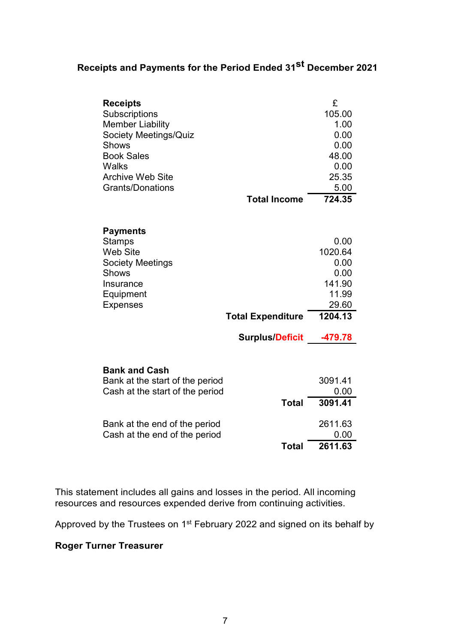## Receipts and Payments for the Period Ended 31<sup>st</sup> December 2021

| <b>Receipts</b>                 |                          | £       |
|---------------------------------|--------------------------|---------|
| Subscriptions                   |                          | 105.00  |
| <b>Member Liability</b>         |                          | 1.00    |
| <b>Society Meetings/Quiz</b>    |                          | 0.00    |
| <b>Shows</b>                    |                          | 0.00    |
| <b>Book Sales</b>               |                          | 48.00   |
| Walks                           |                          | 0.00    |
| <b>Archive Web Site</b>         |                          | 25.35   |
| <b>Grants/Donations</b>         |                          | 5.00    |
|                                 | <b>Total Income</b>      | 724.35  |
|                                 |                          |         |
| <b>Payments</b>                 |                          |         |
| <b>Stamps</b>                   |                          | 0.00    |
| <b>Web Site</b>                 |                          | 1020.64 |
| <b>Society Meetings</b>         |                          | 0.00    |
| <b>Shows</b>                    |                          | 0.00    |
| Insurance                       |                          | 141.90  |
| Equipment                       |                          | 11.99   |
| <b>Expenses</b>                 |                          | 29.60   |
|                                 | <b>Total Expenditure</b> | 1204.13 |
|                                 | <b>Surplus/Deficit</b>   | -479.78 |
|                                 |                          |         |
| <b>Bank and Cash</b>            |                          |         |
| Bank at the start of the period |                          | 3091.41 |
| Cash at the start of the period |                          | 0.00    |
|                                 | <b>Total</b>             | 3091.41 |
| Bank at the end of the period   |                          | 2611.63 |
| Cash at the end of the period   |                          | 0.00    |
|                                 | Total                    | 2611.63 |

This statement includes all gains and losses in the period. All incoming resources and resources expended derive from continuing activities.

Approved by the Trustees on 1<sup>st</sup> February 2022 and signed on its behalf by

### Roger Turner Treasurer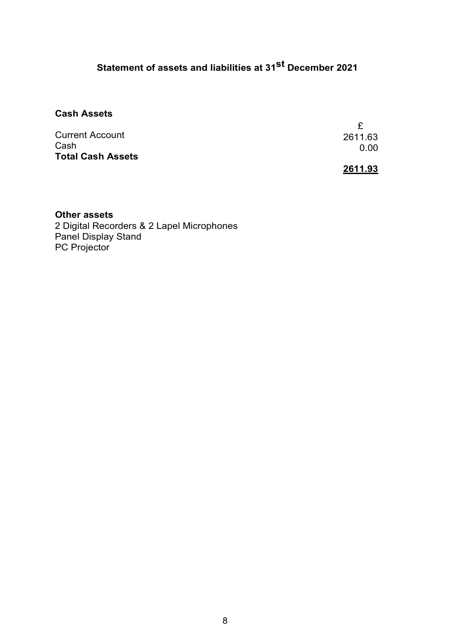# Statement of assets and liabilities at 31<sup>st</sup> December 2021

### Cash Assets

| 2611.63 |                 |
|---------|-----------------|
|         |                 |
|         |                 |
|         |                 |
|         | 0.00<br>2611.93 |

#### Other assets

2 Digital Recorders & 2 Lapel Microphones Panel Display Stand PC Projector